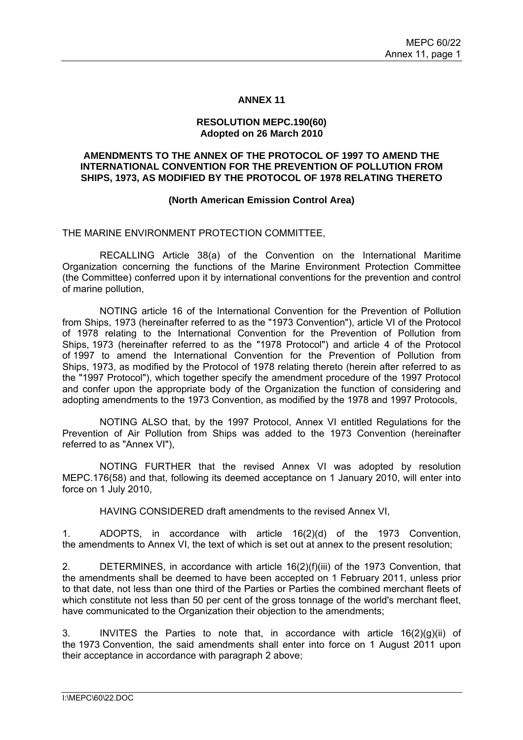#### **ANNEX 11**

#### **RESOLUTION MEPC.190(60) Adopted on 26 March 2010**

#### **AMENDMENTS TO THE ANNEX OF THE PROTOCOL OF 1997 TO AMEND THE INTERNATIONAL CONVENTION FOR THE PREVENTION OF POLLUTION FROM SHIPS, 1973, AS MODIFIED BY THE PROTOCOL OF 1978 RELATING THERETO**

### **(North American Emission Control Area)**

### THE MARINE ENVIRONMENT PROTECTION COMMITTEE,

 RECALLING Article 38(a) of the Convention on the International Maritime Organization concerning the functions of the Marine Environment Protection Committee (the Committee) conferred upon it by international conventions for the prevention and control of marine pollution,

 NOTING article 16 of the International Convention for the Prevention of Pollution from Ships, 1973 (hereinafter referred to as the "1973 Convention"), article VI of the Protocol of 1978 relating to the International Convention for the Prevention of Pollution from Ships, 1973 (hereinafter referred to as the "1978 Protocol") and article 4 of the Protocol of 1997 to amend the International Convention for the Prevention of Pollution from Ships, 1973, as modified by the Protocol of 1978 relating thereto (herein after referred to as the "1997 Protocol"), which together specify the amendment procedure of the 1997 Protocol and confer upon the appropriate body of the Organization the function of considering and adopting amendments to the 1973 Convention, as modified by the 1978 and 1997 Protocols,

 NOTING ALSO that, by the 1997 Protocol, Annex VI entitled Regulations for the Prevention of Air Pollution from Ships was added to the 1973 Convention (hereinafter referred to as "Annex VI"),

 NOTING FURTHER that the revised Annex VI was adopted by resolution MEPC.176(58) and that, following its deemed acceptance on 1 January 2010, will enter into force on 1 July 2010,

HAVING CONSIDERED draft amendments to the revised Annex VI,

1. ADOPTS, in accordance with article 16(2)(d) of the 1973 Convention, the amendments to Annex VI, the text of which is set out at annex to the present resolution;

2. DETERMINES, in accordance with article 16(2)(f)(iii) of the 1973 Convention, that the amendments shall be deemed to have been accepted on 1 February 2011, unless prior to that date, not less than one third of the Parties or Parties the combined merchant fleets of which constitute not less than 50 per cent of the gross tonnage of the world's merchant fleet, have communicated to the Organization their objection to the amendments;

3. INVITES the Parties to note that, in accordance with article 16(2)(g)(ii) of the 1973 Convention, the said amendments shall enter into force on 1 August 2011 upon their acceptance in accordance with paragraph 2 above;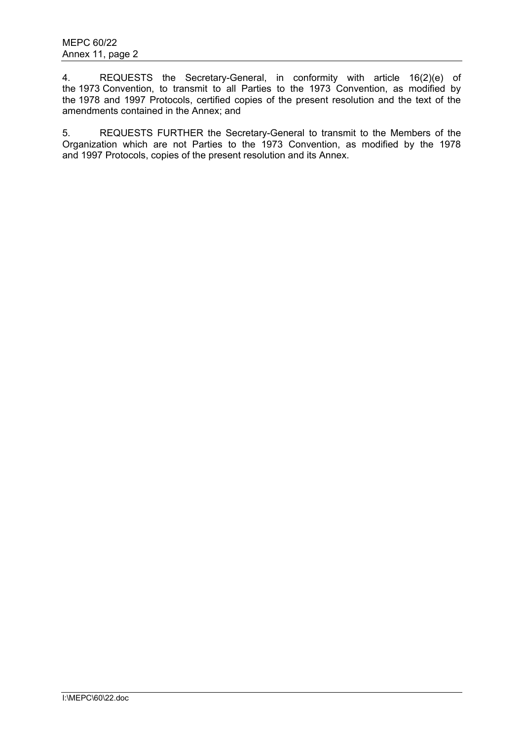4. REQUESTS the Secretary-General, in conformity with article 16(2)(e) of the 1973 Convention, to transmit to all Parties to the 1973 Convention, as modified by the 1978 and 1997 Protocols, certified copies of the present resolution and the text of the amendments contained in the Annex; and

5. REQUESTS FURTHER the Secretary-General to transmit to the Members of the Organization which are not Parties to the 1973 Convention, as modified by the 1978 and 1997 Protocols, copies of the present resolution and its Annex.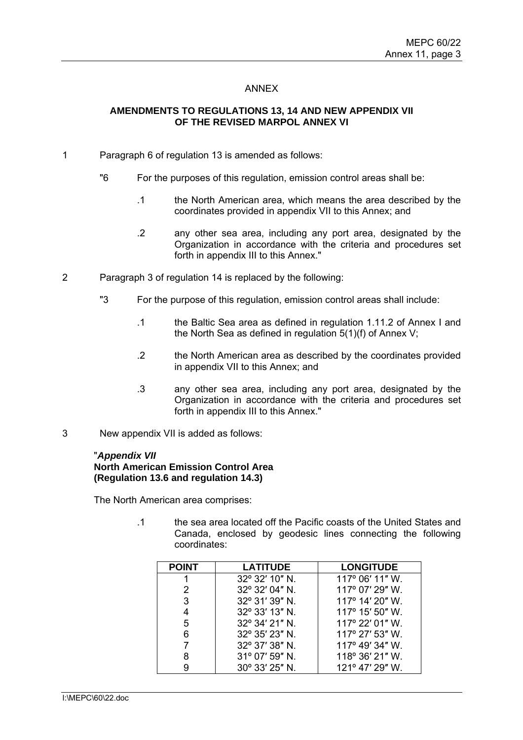## ANNEX

# **AMENDMENTS TO REGULATIONS 13, 14 AND NEW APPENDIX VII OF THE REVISED MARPOL ANNEX VI**

- 1 Paragraph 6 of regulation 13 is amended as follows:
	- "6 For the purposes of this regulation, emission control areas shall be:
		- .1 the North American area, which means the area described by the coordinates provided in appendix VII to this Annex; and
		- .2 any other sea area, including any port area, designated by the Organization in accordance with the criteria and procedures set forth in appendix III to this Annex."
- 2 Paragraph 3 of regulation 14 is replaced by the following:
	- "3 For the purpose of this regulation, emission control areas shall include:
		- .1 the Baltic Sea area as defined in regulation 1.11.2 of Annex I and the North Sea as defined in regulation 5(1)(f) of Annex V;
		- .2 the North American area as described by the coordinates provided in appendix VII to this Annex; and
		- .3 any other sea area, including any port area, designated by the Organization in accordance with the criteria and procedures set forth in appendix III to this Annex."
- 3 New appendix VII is added as follows:

#### "*Appendix VII*

### **North American Emission Control Area (Regulation 13.6 and regulation 14.3)**

The North American area comprises:

.1 the sea area located off the Pacific coasts of the United States and Canada, enclosed by geodesic lines connecting the following coordinates:

| <b>POINT</b> | <b>LATITUDE</b> | <b>LONGITUDE</b>         |
|--------------|-----------------|--------------------------|
|              | 32° 32' 10" N.  | 117° 06' 11" W.          |
| 2            | 32° 32' 04" N.  | 117° 07' 29" W.          |
| 3            | 32° 31' 39" N.  | 117° 14' 20" W.          |
| 4            | 32° 33' 13" N.  | 117° 15' 50" W.          |
| 5            | 32° 34' 21" N.  | $117^{\circ}$ 22' 01" W. |
| 6            | 32° 35' 23" N.  | 117° 27' 53" W.          |
|              | 32° 37' 38" N.  | 117° 49' 34" W.          |
| 8            | 31° 07' 59" N.  | 118° 36' 21" W.          |
| 9            | 30° 33' 25" N.  | 121° 47' 29" W.          |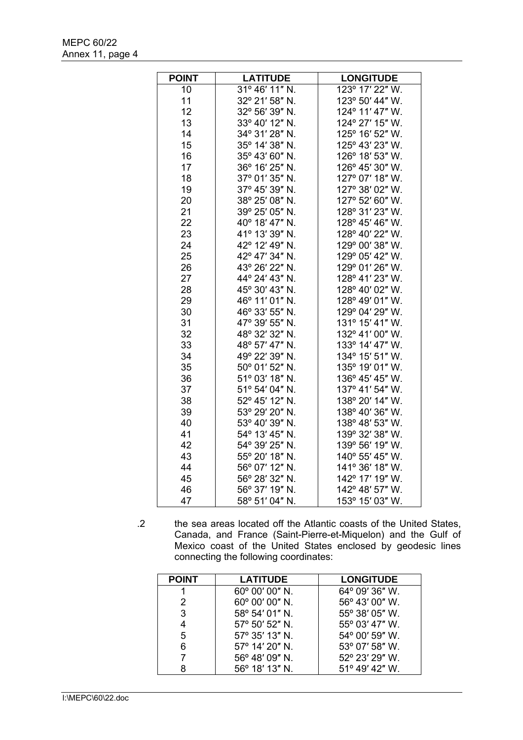| <b>POINT</b> | <b>LATITUDE</b> | <b>LONGITUDE</b>                    |
|--------------|-----------------|-------------------------------------|
| 10           | 31° 46' 11" N.  | $\overline{12}3^{\circ}$ 17' 22" W. |
| 11           | 32° 21' 58" N.  | 123° 50' 44" W.                     |
| 12           | 32° 56' 39" N.  | 124° 11' 47" W.                     |
| 13           | 33° 40' 12" N.  | 124° 27' 15" W.                     |
| 14           | 34° 31' 28" N.  | 125° 16' 52" W.                     |
| 15           | 35° 14' 38" N.  | 125° 43' 23" W.                     |
| 16           | 35° 43' 60" N.  | 126° 18' 53" W.                     |
| 17           | 36° 16' 25" N.  | 126° 45' 30" W.                     |
| 18           | 37° 01' 35" N.  | 127° 07' 18" W.                     |
| 19           | 37° 45' 39" N.  | 127° 38' 02" W.                     |
| 20           | 38° 25' 08" N.  | 127° 52' 60" W.                     |
| 21           | 39° 25' 05" N.  | 128° 31' 23" W.                     |
| 22           | 40° 18' 47" N.  | 128° 45' 46" W.                     |
| 23           | 41° 13' 39" N.  | 128° 40' 22" W.                     |
| 24           | 42° 12' 49" N.  | 129° 00' 38" W.                     |
| 25           | 42° 47' 34" N.  | 129° 05' 42" W.                     |
| 26           | 43° 26' 22" N.  | 129° 01' 26" W.                     |
| 27           | 44° 24' 43" N.  | 128° 41' 23" W.                     |
| 28           | 45° 30' 43" N.  | 128° 40' 02" W.                     |
| 29           | 46° 11' 01" N.  | 128° 49' 01" W.                     |
| 30           | 46° 33' 55" N.  | 129° 04' 29" W.                     |
| 31           | 47° 39' 55" N.  | 131° 15' 41" W.                     |
| 32           | 48° 32' 32" N.  | 132° 41' 00" W.                     |
| 33           | 48° 57' 47" N.  | 133° 14' 47" W.                     |
| 34           | 49° 22' 39" N.  | 134° 15' 51" W.                     |
| 35           | 50° 01' 52" N.  | 135° 19' 01" W.                     |
| 36           | 51° 03' 18" N.  | 136° 45' 45" W.                     |
| 37           | 51° 54' 04" N.  | 137° 41' 54" W.                     |
| 38           | 52° 45' 12" N.  | 138° 20' 14" W.                     |
| 39           | 53° 29' 20" N.  | 138° 40' 36" W.                     |
| 40           | 53° 40' 39" N.  | 138° 48' 53" W.                     |
| 41           | 54° 13' 45" N.  | 139° 32' 38" W.                     |
| 42           | 54° 39' 25" N.  | 139° 56' 19" W.                     |
| 43           | 55° 20' 18" N.  | 140° 55' 45" W.                     |
| 44           | 56° 07' 12" N.  | 141° 36' 18" W.                     |
| 45           | 56° 28' 32" N.  | 142° 17' 19" W.                     |
| 46           | 56° 37' 19" N.  | 142° 48' 57" W.                     |
| 47           | 58° 51' 04" N.  | 153° 15' 03" W.                     |

.2 the sea areas located off the Atlantic coasts of the United States, Canada, and France (Saint-Pierre-et-Miquelon) and the Gulf of Mexico coast of the United States enclosed by geodesic lines connecting the following coordinates:

| <b>POINT</b> | <b>LATITUDE</b> | <b>LONGITUDE</b> |
|--------------|-----------------|------------------|
|              | 60° 00' 00" N.  | 64° 09' 36" W.   |
| 2            | 60° 00' 00" N.  | 56° 43' 00" W.   |
| 3            | 58° 54' 01" N.  | 55° 38' 05" W.   |
| 4            | 57° 50' 52" N.  | 55° 03' 47" W.   |
| 5            | 57° 35' 13" N.  | 54° 00' 59" W.   |
| 6            | 57° 14' 20" N.  | 53° 07' 58" W.   |
|              | 56° 48' 09" N.  | 52° 23' 29" W.   |
| R            | 56° 18' 13" N.  | 51° 49' 42" W.   |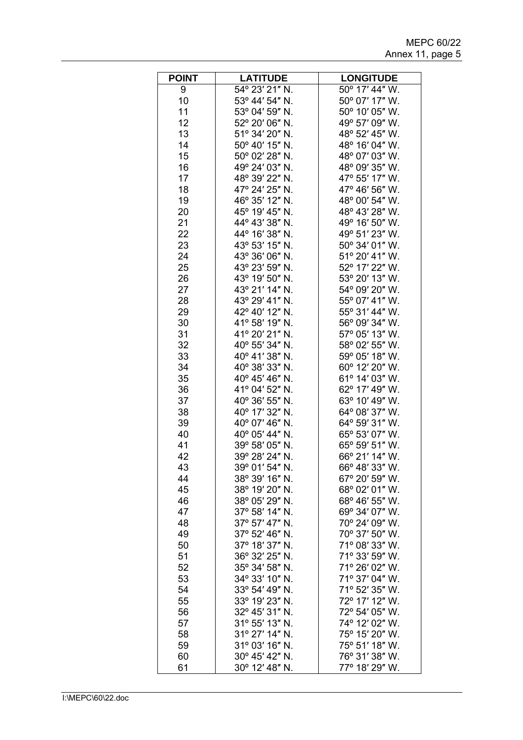| <b>POINT</b> | <b>LATITUDE</b> | <b>LONGITUDE</b> |
|--------------|-----------------|------------------|
| 9            | 54° 23' 21" N.  | 50° 17' 44" W.   |
| 10           | 53° 44' 54" N.  | 50° 07' 17" W.   |
| 11           | 53° 04' 59" N.  | 50° 10' 05" W.   |
| 12           | 52° 20' 06" N.  | 49° 57' 09" W.   |
| 13           | 51° 34' 20" N.  | 48° 52' 45" W.   |
| 14           | 50° 40' 15" N.  | 48° 16' 04" W.   |
| 15           | 50° 02' 28" N.  | 48° 07' 03" W.   |
| 16           | 49° 24' 03" N.  | 48° 09' 35" W.   |
| 17           | 48° 39' 22" N.  | 47° 55' 17" W.   |
| 18           | 47° 24' 25" N.  | 47° 46' 56" W.   |
| 19           | 46° 35' 12" N.  | 48° 00' 54" W.   |
| 20           | 45° 19' 45" N.  | 48° 43' 28" W.   |
| 21           | 44° 43' 38" N.  | 49° 16' 50" W.   |
| 22           | 44° 16' 38" N.  | 49° 51' 23" W.   |
| 23           | 43° 53' 15" N.  | 50° 34' 01" W.   |
| 24           | 43° 36' 06" N.  | 51° 20' 41" W.   |
| 25           | 43° 23' 59" N.  | 52° 17' 22" W.   |
| 26           | 43° 19' 50" N.  | 53° 20' 13" W.   |
| 27           | 43° 21' 14" N.  | 54° 09' 20" W.   |
| 28           | 43° 29' 41" N.  | 55° 07' 41" W.   |
| 29           | 42° 40' 12" N.  | 55° 31' 44" W.   |
| 30           | 41° 58' 19" N.  | 56° 09' 34" W.   |
|              | 41° 20' 21" N.  |                  |
| 31<br>32     | 40° 55' 34" N.  | 57° 05' 13" W.   |
|              |                 | 58° 02' 55" W.   |
| 33           | 40° 41' 38" N.  | 59° 05' 18" W.   |
| 34           | 40° 38' 33" N.  | 60° 12' 20" W.   |
| 35           | 40° 45' 46" N.  | 61° 14' 03" W.   |
| 36           | 41° 04' 52" N.  | 62° 17' 49" W.   |
| 37           | 40° 36' 55" N.  | 63° 10' 49" W.   |
| 38           | 40° 17' 32" N.  | 64° 08' 37" W.   |
| 39           | 40° 07' 46" N.  | 64° 59' 31" W.   |
| 40           | 40° 05' 44" N.  | 65° 53' 07" W.   |
| 41           | 39° 58' 05" N.  | 65° 59' 51" W.   |
| 42           | 39° 28' 24" N.  | 66° 21′ 14″ W.   |
| 43           | 39° 01' 54" N.  | 66° 48' 33" W.   |
| 44           | 38° 39' 16" N.  | 67° 20' 59" W.   |
| 45           | 38° 19' 20" N.  | 68° 02' 01" W.   |
| 46           | 38° 05' 29" N.  | 68° 46' 55" W.   |
| 47           | 37° 58' 14" N.  | 69° 34' 07" W.   |
| 48           | 37° 57' 47" N.  | 70° 24' 09" W.   |
| 49           | 37° 52' 46" N.  | 70° 37' 50" W.   |
| 50           | 37° 18' 37" N.  | 71° 08' 33" W.   |
| 51           | 36° 32' 25" N.  | 71° 33' 59" W.   |
| 52           | 35° 34' 58" N.  | 71° 26' 02" W.   |
| 53           | 34° 33' 10" N.  | 71° 37' 04" W.   |
| 54           | 33° 54' 49" N.  | 71° 52' 35" W.   |
| 55           | 33° 19' 23" N.  | 72° 17' 12" W.   |
| 56           | 32° 45' 31" N.  | 72° 54' 05" W.   |
| 57           | 31° 55' 13" N.  | 74° 12' 02" W.   |
| 58           | 31° 27' 14" N.  | 75° 15' 20" W.   |
| 59           | 31° 03' 16" N.  | 75° 51' 18" W.   |
| 60           | 30° 45' 42" N.  | 76° 31' 38" W.   |
| 61           | 30° 12' 48" N.  | 77° 18' 29" W.   |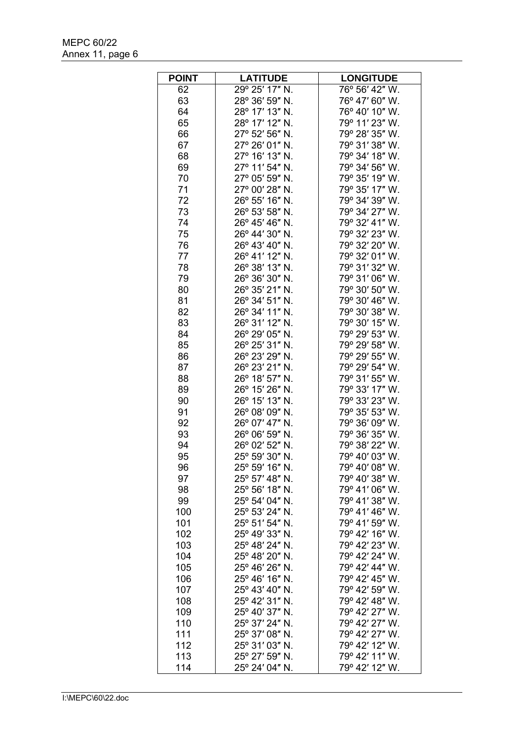| <b>POINT</b> | <b>LATITUDE</b> | <b>LONGITUDE</b> |
|--------------|-----------------|------------------|
| 62           | 29° 25' 17" N.  | 76° 56' 42" W.   |
| 63           | 28° 36' 59" N.  | 76° 47' 60" W.   |
| 64           | 28° 17' 13" N.  | 76° 40' 10" W.   |
| 65           | 28° 17' 12" N.  | 79° 11' 23" W.   |
| 66           | 27° 52' 56" N.  | 79° 28' 35" W.   |
| 67           | 27° 26' 01" N.  | 79° 31' 38" W.   |
| 68           | 27° 16' 13" N.  | 79° 34' 18" W.   |
| 69           | 27° 11' 54" N.  | 79° 34' 56" W.   |
| 70           | 27° 05' 59" N.  | 79° 35' 19" W.   |
| 71           | 27° 00' 28" N.  | 79° 35' 17" W.   |
| 72           | 26° 55' 16" N.  | 79° 34' 39" W.   |
| 73           | 26° 53' 58" N.  | 79° 34' 27" W.   |
| 74           | 26° 45' 46" N.  | 79° 32' 41" W.   |
| 75           | 26° 44' 30" N.  | 79° 32' 23" W.   |
| 76           | 26° 43' 40" N.  | 79° 32' 20" W.   |
| 77           | 26° 41' 12" N.  | 79° 32' 01" W.   |
| 78           | 26° 38' 13" N.  | 79° 31' 32" W.   |
|              |                 |                  |
| 79           | 26° 36' 30" N.  | 79° 31' 06" W.   |
| 80           | 26° 35' 21" N.  | 79° 30' 50" W.   |
| 81           | 26° 34' 51" N.  | 79° 30' 46" W.   |
| 82           | 26° 34' 11" N.  | 79° 30' 38" W.   |
| 83           | 26° 31' 12" N.  | 79° 30' 15" W.   |
| 84           | 26° 29' 05" N.  | 79° 29' 53" W.   |
| 85           | 26° 25' 31" N.  | 79° 29' 58" W.   |
| 86           | 26° 23' 29" N.  | 79° 29' 55" W.   |
| 87           | 26° 23' 21" N.  | 79° 29' 54" W.   |
| 88           | 26° 18' 57" N.  | 79° 31' 55" W.   |
| 89           | 26° 15' 26" N.  | 79° 33' 17" W.   |
| 90           | 26° 15' 13" N.  | 79° 33' 23" W.   |
| 91           | 26° 08' 09" N.  | 79° 35' 53" W.   |
| 92           | 26° 07' 47" N.  | 79° 36' 09" W.   |
| 93           | 26° 06' 59" N.  | 79° 36' 35" W.   |
| 94           | 26° 02' 52" N.  | 79° 38' 22" W.   |
| 95           | 25° 59′ 30″ N.  | 79° 40′ 03″ W.   |
| 96           | 25° 59' 16" N.  | 79° 40' 08" W.   |
| 97           | 25° 57' 48" N.  | 79° 40' 38" W.   |
| 98           | 25° 56' 18" N.  | 79° 41' 06" W.   |
| 99           | 25° 54' 04" N.  | 79° 41' 38" W.   |
| 100          | 25° 53' 24" N.  | 79° 41' 46" W.   |
| 101          | 25° 51' 54" N.  | 79° 41' 59" W.   |
| 102          | 25° 49' 33" N.  | 79° 42' 16" W.   |
| 103          | 25° 48' 24" N.  | 79° 42' 23" W.   |
| 104          | 25° 48' 20" N.  | 79° 42' 24" W.   |
| 105          | 25° 46' 26" N.  | 79° 42' 44" W.   |
| 106          | 25° 46' 16" N.  | 79° 42' 45" W.   |
| 107          | 25° 43' 40" N.  | 79° 42' 59" W.   |
| 108          | 25° 42' 31" N.  | 79° 42' 48" W.   |
| 109          | 25° 40' 37" N.  | 79° 42' 27" W.   |
| 110          | 25° 37' 24" N.  | 79° 42' 27" W.   |
| 111          | 25° 37' 08" N.  | 79° 42' 27" W.   |
| 112          | 25° 31' 03" N.  | 79° 42' 12" W.   |
| 113          | 25° 27' 59" N.  | 79° 42' 11" W.   |
| 114          | 25° 24' 04" N.  | 79° 42' 12" W.   |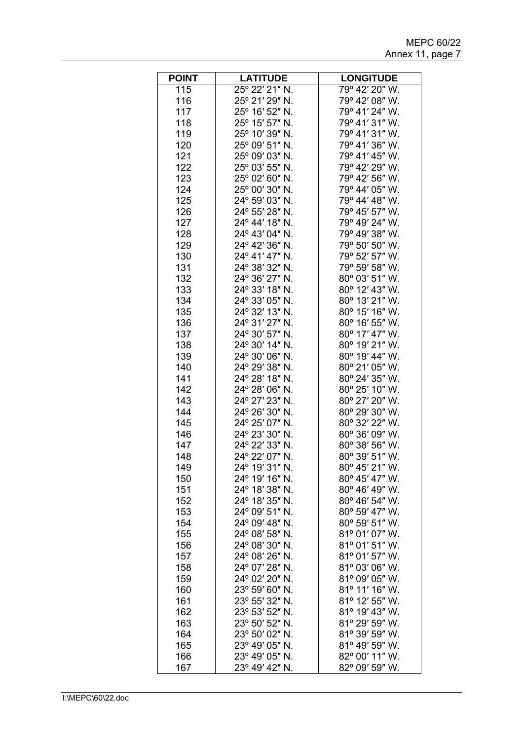| <b>POINT</b> | <b>LATITUDE</b>                  | <b>LONGITUDE</b>                 |
|--------------|----------------------------------|----------------------------------|
| 115          | 25° 22' 21" N.                   | 79° 42' 20" W.                   |
| 116          | 25° 21' 29" N.                   | 79° 42' 08" W.                   |
| 117          | 25° 16' 52" N.                   | 79° 41' 24" W.                   |
| 118          | 25° 15' 57" N.                   | 79° 41' 31" W.                   |
| 119          | 25° 10′ 39″ N.                   | 79° 41' 31" W.                   |
| 120          | 25° 09' 51" N.                   | 79° 41' 36" W.                   |
| 121          | 25° 09' 03" N.                   | 79° 41' 45" W.                   |
| 122          | 25° 03' 55" N.                   | 79° 42' 29" W.                   |
| 123          | 25° 02' 60" N.                   | 79° 42' 56" W.                   |
| 124          | 25° 00' 30" N.                   | 79° 44' 05" W.                   |
| 125          | 24° 59' 03" N.                   | 79° 44' 48" W.                   |
| 126          | 24° 55' 28" N.                   | 79° 45' 57" W.                   |
| 127          | 24° 44' 18" N.                   | 79° 49' 24" W.                   |
| 128          | 24° 43' 04" N.                   | 79° 49' 38" W.                   |
| 129          | 24° 42' 36" N.                   | 79° 50' 50" W.                   |
| 130          | 24° 41' 47" N.                   | 79° 52' 57" W.                   |
| 131          | 24° 38' 32" N.                   | 79° 59' 58" W.                   |
| 132          | 24° 36' 27" N.                   | 80° 03' 51" W.                   |
| 133          | 24° 33' 18" N.                   | 80° 12' 43" W.                   |
| 134          | 24° 33' 05" N.                   | 80° 13' 21" W.                   |
| 135          | 24° 32' 13" N.                   | 80° 15' 16" W.                   |
| 136          | 24° 31' 27" N.                   | 80° 16' 55" W.                   |
| 137          | 24° 30' 57" N.                   | 80° 17' 47" W.                   |
| 138          | 24° 30' 14" N.                   | 80° 19' 21" W.                   |
| 139          | 24° 30' 06" N.                   | 80° 19' 44" W.                   |
| 140          | 24° 29' 38" N.                   | 80° 21' 05" W.                   |
| 141          | 24° 28' 18" N.                   | 80° 24' 35" W.                   |
| 142          | 24° 28' 06" N.                   | 80° 25' 10" W.                   |
| 143          | 24° 27' 23" N.                   | 80° 27' 20" W.                   |
| 144          | 24° 26' 30" N.                   | 80° 29' 30" W.                   |
| 145          | 24° 25' 07" N.                   | 80° 32' 22" W.                   |
| 146          | 24° 23' 30" N.                   | 80° 36' 09" W.                   |
| 147          | 24° 22' 33" N.                   | 80° 38' 56" W.                   |
| 148          | 24° 22' 07" N.                   | 80° 39' 51" W.                   |
| 149          | 24° 19' 31" N.                   | 80° 45' 21" W.                   |
| 150          | 24° 19' 16" N.                   | 80° 45' 47" W.                   |
| 151          | 24° 18' 38" N.                   | 80° 46' 49" W.                   |
| 152          | 24° 18' 35" N.                   | 80° 46' 54" W.                   |
| 153          | 24° 09' 51" N.                   | 80° 59' 47" W.                   |
| 154          | 24° 09' 48" N.                   | 80° 59' 51" W.                   |
| 155          | 24° 08' 58" N.                   | 81° 01' 07" W.                   |
| 156<br>157   | 24° 08' 30" N.<br>24° 08' 26" N. | 81° 01' 51" W.<br>81° 01' 57" W. |
| 158          | 24° 07' 28" N.                   | 81° 03' 06" W.                   |
| 159          | 24° 02' 20" N.                   | 81° 09' 05" W.                   |
| 160          | 23° 59' 60" N.                   | 81° 11' 16" W.                   |
| 161          | 23° 55' 32" N.                   | 81° 12' 55" W.                   |
| 162          | 23° 53' 52" N.                   | 81° 19' 43" W.                   |
| 163          | 23° 50' 52" N.                   | 81° 29' 59" W.                   |
| 164          | 23° 50' 02" N.                   | 81° 39' 59" W.                   |
| 165          | 23° 49′ 05″ N.                   | 81° 49' 59" W.                   |
| 166          | 23° 49' 05" N.                   | 82° 00' 11" W.                   |
| 167          | 23° 49' 42" N.                   | 82° 09' 59" W.                   |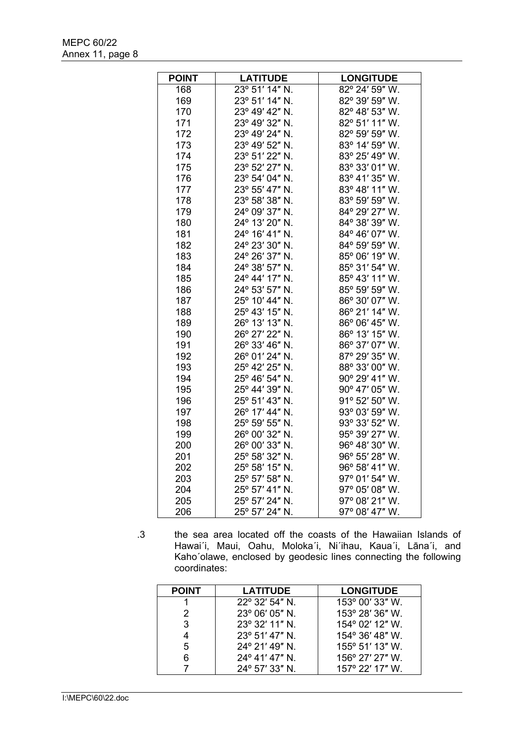| <b>POINT</b> | <b>LATITUDE</b> | <b>LONGITUDE</b>        |
|--------------|-----------------|-------------------------|
| 168          | 23° 51' 14" N.  | $82^{\circ}$ 24' 59" W. |
| 169          | 23° 51' 14" N.  | 82° 39' 59" W.          |
| 170          | 23° 49' 42" N.  | 82° 48' 53" W.          |
| 171          | 23° 49' 32" N.  | 82° 51' 11" W.          |
| 172          | 23° 49' 24" N.  | 82° 59' 59" W.          |
| 173          | 23° 49' 52" N.  | 83° 14' 59" W.          |
| 174          | 23° 51' 22" N.  | 83° 25' 49" W.          |
| 175          | 23° 52' 27" N.  | 83° 33' 01" W.          |
| 176          | 23° 54' 04" N.  | 83° 41' 35" W.          |
| 177          | 23° 55' 47" N.  | 83° 48' 11" W.          |
| 178          | 23° 58' 38" N.  | 83° 59' 59" W.          |
| 179          | 24° 09' 37" N.  | 84° 29' 27" W.          |
| 180          | 24° 13' 20" N.  | 84° 38' 39" W.          |
| 181          | 24° 16' 41" N.  | 84° 46' 07" W.          |
| 182          | 24° 23' 30" N.  | 84° 59' 59" W.          |
| 183          | 24° 26' 37" N.  | 85° 06' 19" W.          |
| 184          | 24° 38' 57" N.  | 85° 31' 54" W.          |
| 185          | 24° 44' 17" N.  | 85° 43' 11" W.          |
| 186          | 24° 53' 57" N.  | 85° 59' 59" W.          |
| 187          | 25° 10' 44" N.  | 86° 30' 07" W.          |
| 188          | 25° 43' 15" N.  | 86° 21' 14" W.          |
| 189          | 26° 13' 13" N.  | 86° 06' 45" W.          |
| 190          | 26° 27' 22" N.  | 86° 13' 15" W.          |
| 191          | 26° 33' 46" N.  | 86° 37' 07" W.          |
| 192          | 26° 01' 24" N.  | 87° 29' 35" W.          |
| 193          | 25° 42' 25" N.  | 88° 33' 00" W.          |
| 194          | 25° 46' 54" N.  | 90° 29' 41" W.          |
| 195          | 25° 44' 39" N.  | 90° 47' 05" W.          |
| 196          | 25° 51' 43" N.  | 91° 52' 50" W.          |
| 197          | 26° 17' 44" N.  | 93° 03' 59" W.          |
| 198          | 25° 59' 55" N.  | 93° 33' 52" W.          |
| 199          | 26° 00' 32" N.  | 95° 39' 27" W.          |
| 200          | 26° 00' 33" N.  | 96° 48' 30" W.          |
| 201          | 25° 58' 32" N.  | 96° 55' 28" W.          |
| 202          | 25° 58' 15" N.  | 96° 58' 41" W.          |
| 203          | 25° 57' 58" N.  | 97° 01' 54" W.          |
| 204          | 25° 57' 41" N.  | 97° 05' 08" W.          |
| 205          | 25° 57' 24" N.  | 97° 08' 21" W.          |
| 206          | 25° 57' 24" N.  | 97° 08' 47" W.          |

.3 the sea area located off the coasts of the Hawaiian Islands of Hawai΄i, Maui, Oahu, Moloka΄i, Ni΄ihau, Kaua΄i, Lāna΄i, and Kaho΄olawe, enclosed by geodesic lines connecting the following coordinates:

| <b>POINT</b> | <b>LATITUDE</b>         | <b>LONGITUDE</b>         |
|--------------|-------------------------|--------------------------|
|              | $22^{\circ}$ 32' 54" N. | 153° 00' 33" W.          |
| 2            | $23^{\circ}$ 06' 05" N. | 153° 28' 36" W.          |
| 3            | 23° 32' 11" N.          | $154^{\circ}$ 02' 12" W. |
|              | 23° 51' 47" N.          | $154^{\circ}$ 36' 48" W. |
| 5            | $24^{\circ}$ 21' 49" N. | 155° 51' 13" W.          |
| 6            | $24^{\circ}$ 41' 47" N. | 156° 27' 27" W.          |
|              | $24^{\circ}$ 57' 33" N. | 157° 22' 17" W.          |